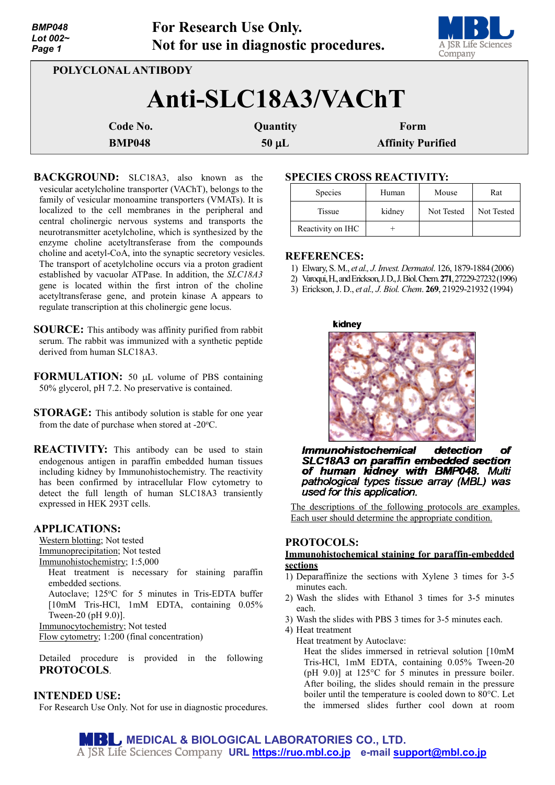| <b>BMP048</b><br>Lot $002-$<br>Page 1 |               | <b>For Research Use Only.</b><br>Not for use in diagnostic procedures. | A JSR Life Sciences<br>Company |  |  |  |
|---------------------------------------|---------------|------------------------------------------------------------------------|--------------------------------|--|--|--|
| POLYCLONAL ANTIBODY                   |               |                                                                        |                                |  |  |  |
| Anti-SLC18A3/VAChT                    |               |                                                                        |                                |  |  |  |
|                                       | Code No.      | Quantity                                                               | Form                           |  |  |  |
|                                       | <b>BMP048</b> | $50 \mu L$                                                             | <b>Affinity Purified</b>       |  |  |  |

**BACKGROUND:** SLC18A3, also known as the vesicular acetylcholine transporter (VAChT), belongs to the family of vesicular monoamine transporters (VMATs). It is localized to the cell membranes in the peripheral and central cholinergic nervous systems and transports the neurotransmitter acetylcholine, which is synthesized by the enzyme choline acetyltransferase from the compounds choline and acetyl-CoA, into the synaptic secretory vesicles. The transport of acetylcholine occurs via a proton gradient established by vacuolar ATPase. In addition, the *SLC18A3* gene is located within the first intron of the choline acetyltransferase gene, and protein kinase A appears to regulate transcription at this cholinergic gene locus.

- **SOURCE:** This antibody was affinity purified from rabbit serum. The rabbit was immunized with a synthetic peptide derived from human SLC18A3.
- **FORMULATION:** 50 µL volume of PBS containing 50% glycerol, pH 7.2. No preservative is contained.
- **STORAGE:** This antibody solution is stable for one year from the date of purchase when stored at -20°C.

**REACTIVITY:** This antibody can be used to stain endogenous antigen in paraffin embedded human tissues including kidney by Immunohistochemistry. The reactivity has been confirmed by intracellular Flow cytometry to detect the full length of human SLC18A3 transiently expressed in HEK 293T cells.

### **APPLICATIONS:**

Western blotting; Not tested Immunoprecipitation; Not tested Immunohistochemistry; 1:5,000

Heat treatment is necessary for staining paraffin embedded sections.

Autoclave; 125°C for 5 minutes in Tris-EDTA buffer [10mM Tris-HCl, 1mM EDTA, containing 0.05% Tween-20 (pH 9.0)].

Immunocytochemistry; Not tested

Flow cytometry; 1:200 (final concentration)

Detailed procedure is provided in the following **PROTOCOLS**.

### **INTENDED USE:**

For Research Use Only. Not for use in diagnostic procedures.

### **SPECIES CROSS REACTIVITY:**

| <b>Species</b>    | Human  | Mouse      | Rat        |
|-------------------|--------|------------|------------|
| <b>Tissue</b>     | kidney | Not Tested | Not Tested |
| Reactivity on IHC |        |            |            |

### **REFERENCES:**

- 1) Elwary, S. M., *et al., J.Invest. Dermatol*. 126, 1879-1884 (2006)
- 2) Varoqui,H.,and Erickson,J. D.,J. Biol. Chem.**271**, 27229-27232(1996)
- 3) Erickson, J. D., *et al., J. Biol. Chem*. **269**, 21929-21932 (1994)



**Immunohistochemical** detection of SLC18A3 on paraffin embedded section of human kidney with BMP048. Multi pathological types tissue array (MBL) was used for this application.

The descriptions of the following protocols are examples. Each user should determine the appropriate condition.

#### **PROTOCOLS:**

## **Immunohistochemical staining for paraffin-embedded sections**

- 1) Deparaffinize the sections with Xylene 3 times for 3-5 minutes each.
- 2) Wash the slides with Ethanol 3 times for 3-5 minutes each.
- 3) Wash the slides with PBS 3 times for 3-5 minutes each.
- 4) Heat treatment

Heat treatment by Autoclave: Heat the slides immersed in retrieval solution [10mM Tris-HCl, 1mM EDTA, containing 0.05% Tween-20 (pH 9.0)] at 125°C for 5 minutes in pressure boiler. After boiling, the slides should remain in the pressure boiler until the temperature is cooled down to 80°C. Let the immersed slides further cool down at room